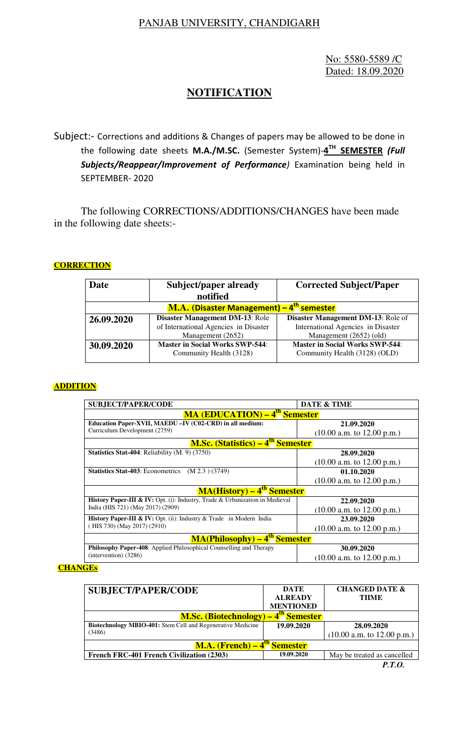## PANJAB UNIVERSITY, CHANDIGARH

 No: 5580-5589 /C Dated: 18.09.2020

# **NOTIFICATION**

Subject:- Corrections and additions & Changes of papers may be allowed to be done in the following date sheets **M.A./M.SC.** (Semester System)-**4 TH SEMESTER** *(Full Subjects/Reappear/Improvement of Performance)* Examination being held in SEPTEMBER- 2020

The following CORRECTIONS/ADDITIONS/CHANGES have been made in the following date sheets:-

## **CORRECTION**

| Date                                     | Subject/paper already<br>notified      | <b>Corrected Subject/Paper</b>         |  |  |  |
|------------------------------------------|----------------------------------------|----------------------------------------|--|--|--|
| M.A. (Disaster Management) -<br>semester |                                        |                                        |  |  |  |
| 26.09.2020                               | Disaster Management DM-13: Role        | Disaster Management DM-13: Role of     |  |  |  |
|                                          | of International Agencies in Disaster  | International Agencies in Disaster     |  |  |  |
|                                          | Management (2652)                      | Management (2652) (old)                |  |  |  |
| 30.09.2020                               | <b>Master in Social Works SWP-544:</b> | <b>Master in Social Works SWP-544:</b> |  |  |  |
|                                          | Community Health (3128)                | Community Health (3128) (OLD)          |  |  |  |
|                                          |                                        |                                        |  |  |  |

### **ADDITION**

| <b>SUBJECT/PAPER/CODE</b>                                                    | DATE & TIME                  |  |  |  |  |
|------------------------------------------------------------------------------|------------------------------|--|--|--|--|
| <b>MA (EDUCATION) – 4<sup>th</sup> Semester</b>                              |                              |  |  |  |  |
| Education Paper-XVII, MAEDU -IV (C02-CRD) in all medium:                     | 21.09.2020                   |  |  |  |  |
| Curriculum Development (2759)                                                | $(10.00$ a.m. to 12.00 p.m.) |  |  |  |  |
| <b>M.Sc. (Statistics) – 4<sup>th</sup> Semester</b>                          |                              |  |  |  |  |
| <b>Statistics Stat-404: Reliability (M. 9) (3750)</b>                        | 28.09.2020                   |  |  |  |  |
|                                                                              | $(10.00$ a.m. to 12.00 p.m.) |  |  |  |  |
| <b>Statistics Stat-403</b> : Econometrics<br>(M 2.3) (3749)                  | 01.10.2020                   |  |  |  |  |
|                                                                              | $(10.00$ a.m. to 12.00 p.m.) |  |  |  |  |
| <b>MA(History) – 4<sup>th</sup> Semester</b>                                 |                              |  |  |  |  |
| History Paper-III & IV: Opt. (i): Industry, Trade & Urbanization in Medieval | 22.09.2020                   |  |  |  |  |
| India (HIS 721) (May 2017) (2909)                                            | $(10.00$ a.m. to 12.00 p.m.) |  |  |  |  |
| History Paper-III & IV: Opt. (ii): Industry & Trade in Modern India          | 23.09.2020                   |  |  |  |  |
| (HIS 730) (May 2017) (2910)                                                  | $(10.00$ a.m. to 12.00 p.m.) |  |  |  |  |
| <b>MA(Philosophy) – 4<sup>th</sup> Semester</b>                              |                              |  |  |  |  |
| <b>Philosophy Paper-408:</b> Applied Philosophical Counselling and Therapy   | 30.09.2020                   |  |  |  |  |
| $(intervation)$ (3286)                                                       | $(10.00$ a.m. to 12.00 p.m.) |  |  |  |  |

#### **CHANGEs**

| <b>SUBJECT/PAPER/CODE</b>                                          | DATE             | <b>CHANGED DATE &amp;</b>    |  |  |
|--------------------------------------------------------------------|------------------|------------------------------|--|--|
|                                                                    | <b>ALREADY</b>   | <b>THME</b>                  |  |  |
|                                                                    | <b>MENTIONED</b> |                              |  |  |
| 4 <sup>th</sup> Semester<br><b>M.Sc. (Biotechnology) –</b>         |                  |                              |  |  |
| <b>Biotechnology MBIO-401:</b> Stem Cell and Regenerative Medicine | 19.09.2020       | 28.09.2020                   |  |  |
| (3486)                                                             |                  | $(10.00$ a.m. to 12.00 p.m.) |  |  |
| <b>M.A.</b> (French) – 4 <sup>th</sup> Semester)                   |                  |                              |  |  |
| <b>French FRC-401 French Civilization (2303)</b>                   | 19.09.2020       | May be treated as cancelled  |  |  |

*P.T.O.*